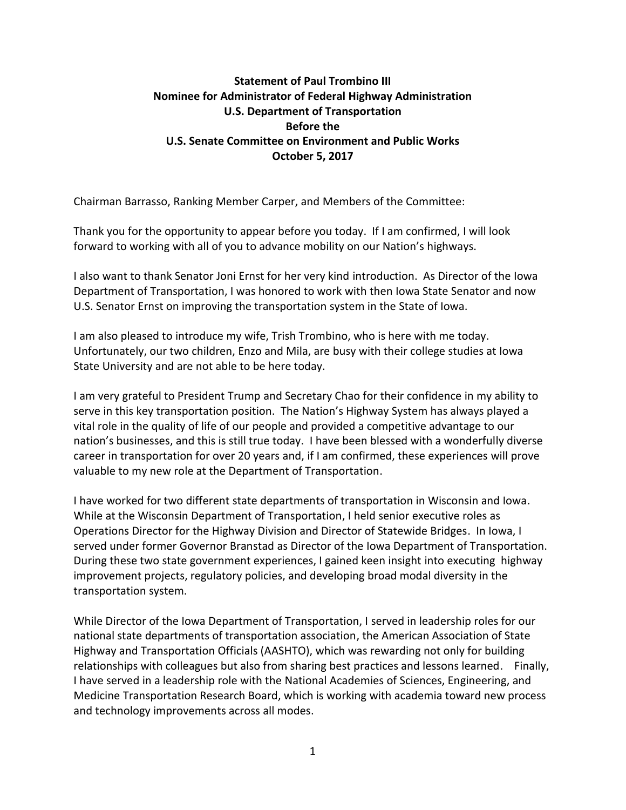## **Statement of Paul Trombino III Nominee for Administrator of Federal Highway Administration U.S. Department of Transportation Before the U.S. Senate Committee on Environment and Public Works October 5, 2017**

Chairman Barrasso, Ranking Member Carper, and Members of the Committee:

Thank you for the opportunity to appear before you today. If I am confirmed, I will look forward to working with all of you to advance mobility on our Nation's highways.

I also want to thank Senator Joni Ernst for her very kind introduction. As Director of the Iowa Department of Transportation, I was honored to work with then Iowa State Senator and now U.S. Senator Ernst on improving the transportation system in the State of Iowa.

I am also pleased to introduce my wife, Trish Trombino, who is here with me today. Unfortunately, our two children, Enzo and Mila, are busy with their college studies at Iowa State University and are not able to be here today.

I am very grateful to President Trump and Secretary Chao for their confidence in my ability to serve in this key transportation position. The Nation's Highway System has always played a vital role in the quality of life of our people and provided a competitive advantage to our nation's businesses, and this is still true today. I have been blessed with a wonderfully diverse career in transportation for over 20 years and, if I am confirmed, these experiences will prove valuable to my new role at the Department of Transportation.

I have worked for two different state departments of transportation in Wisconsin and Iowa. While at the Wisconsin Department of Transportation, I held senior executive roles as Operations Director for the Highway Division and Director of Statewide Bridges. In Iowa, I served under former Governor Branstad as Director of the Iowa Department of Transportation. During these two state government experiences, I gained keen insight into executing highway improvement projects, regulatory policies, and developing broad modal diversity in the transportation system.

While Director of the Iowa Department of Transportation, I served in leadership roles for our national state departments of transportation association, the American Association of State Highway and Transportation Officials (AASHTO), which was rewarding not only for building relationships with colleagues but also from sharing best practices and lessons learned. Finally, I have served in a leadership role with the National Academies of Sciences, Engineering, and Medicine Transportation Research Board, which is working with academia toward new process and technology improvements across all modes.